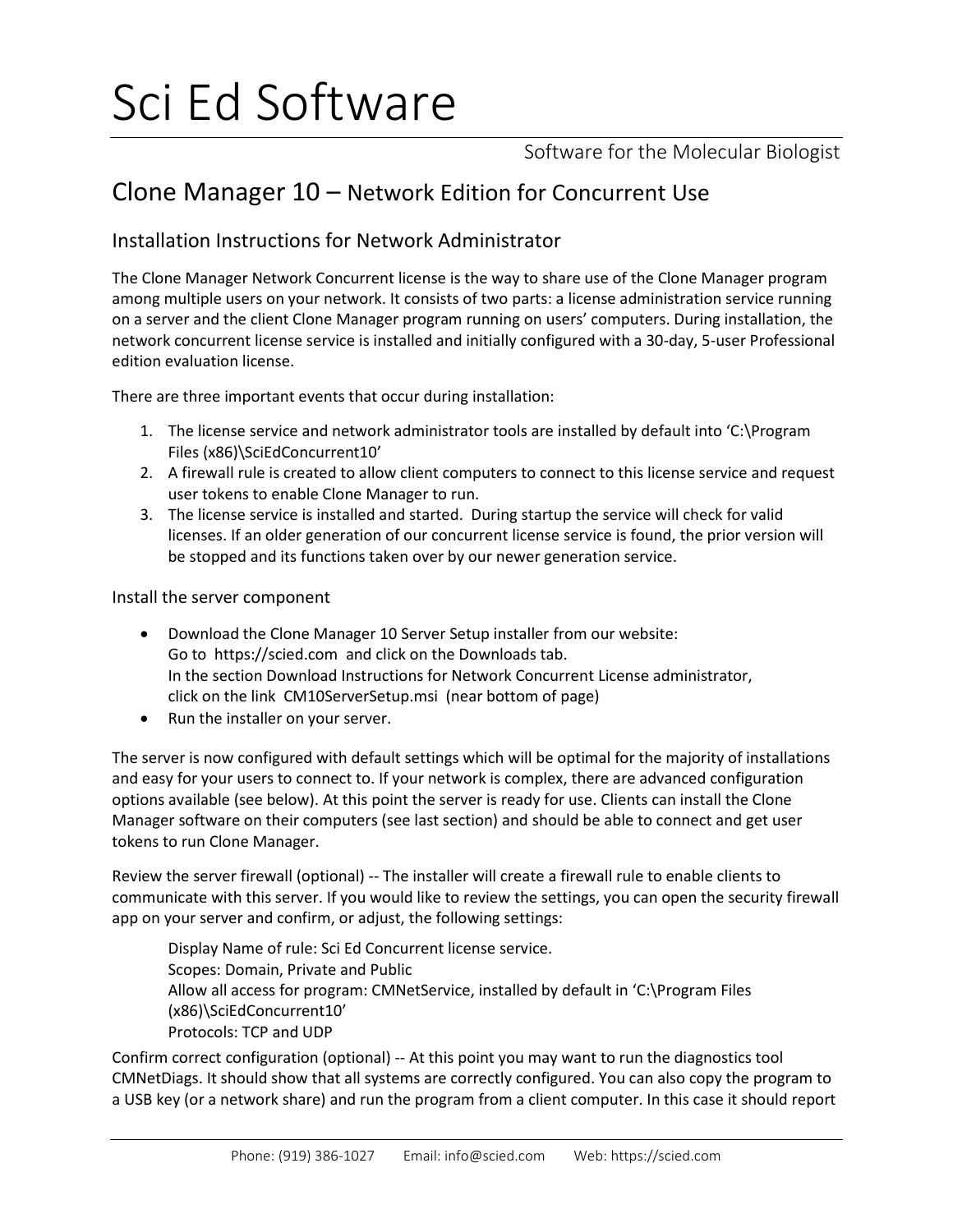# Sci Ed Software

Software for the Molecular Biologist

## Clone Manager 10 – Network Edition for Concurrent Use

### Installation Instructions for Network Administrator

The Clone Manager Network Concurrent license is the way to share use of the Clone Manager program among multiple users on your network. It consists of two parts: a license administration service running on a server and the client Clone Manager program running on users' computers. During installation, the network concurrent license service is installed and initially configured with a 30-day, 5-user Professional edition evaluation license.

There are three important events that occur during installation:

- 1. The license service and network administrator tools are installed by default into 'C:\Program Files (x86)\SciEdConcurrent10'
- 2. A firewall rule is created to allow client computers to connect to this license service and request user tokens to enable Clone Manager to run.
- 3. The license service is installed and started. During startup the service will check for valid licenses. If an older generation of our concurrent license service is found, the prior version will be stopped and its functions taken over by our newer generation service.

Install the server component

- Download the Clone Manager 10 Server Setup installer from our website: Go to https://scied.com and click on the Downloads tab. In the section Download Instructions for Network Concurrent License administrator, click on the link CM10ServerSetup.msi (near bottom of page)
- Run the installer on your server.

The server is now configured with default settings which will be optimal for the majority of installations and easy for your users to connect to. If your network is complex, there are advanced configuration options available (see below). At this point the server is ready for use. Clients can install the Clone Manager software on their computers (see last section) and should be able to connect and get user tokens to run Clone Manager.

Review the server firewall (optional) -- The installer will create a firewall rule to enable clients to communicate with this server. If you would like to review the settings, you can open the security firewall app on your server and confirm, or adjust, the following settings:

Display Name of rule: Sci Ed Concurrent license service. Scopes: Domain, Private and Public Allow all access for program: CMNetService, installed by default in 'C:\Program Files (x86)\SciEdConcurrent10' Protocols: TCP and UDP

Confirm correct configuration (optional) -- At this point you may want to run the diagnostics tool CMNetDiags. It should show that all systems are correctly configured. You can also copy the program to a USB key (or a network share) and run the program from a client computer. In this case it should report